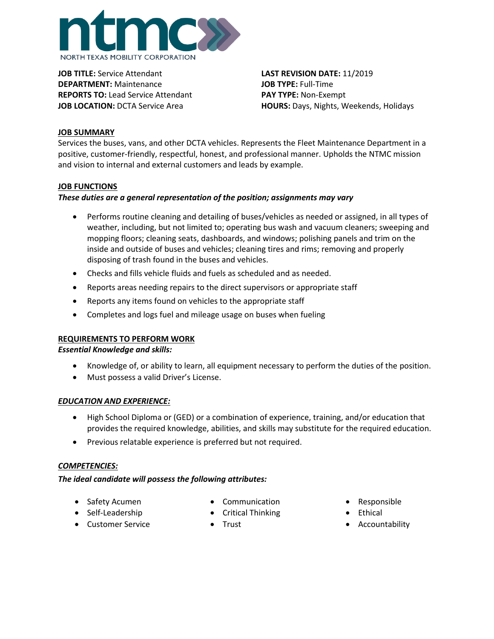

**JOB TITLE:** Service Attendant **LAST REVISION DATE:** 11/2019 **DEPARTMENT:** Maintenance **JOB TYPE:** Full-Time **REPORTS TO:** Lead Service Attendant **PAY TYPE:** Non-Exempt

**JOB LOCATION:** DCTA Service Area **HOURS:** Days, Nights, Weekends, Holidays

## **JOB SUMMARY**

Services the buses, vans, and other DCTA vehicles. Represents the Fleet Maintenance Department in a positive, customer-friendly, respectful, honest, and professional manner. Upholds the NTMC mission and vision to internal and external customers and leads by example.

## **JOB FUNCTIONS**

## *These duties are a general representation of the position; assignments may vary*

- Performs routine cleaning and detailing of buses/vehicles as needed or assigned, in all types of weather, including, but not limited to; operating bus wash and vacuum cleaners; sweeping and mopping floors; cleaning seats, dashboards, and windows; polishing panels and trim on the inside and outside of buses and vehicles; cleaning tires and rims; removing and properly disposing of trash found in the buses and vehicles.
- Checks and fills vehicle fluids and fuels as scheduled and as needed.
- Reports areas needing repairs to the direct supervisors or appropriate staff
- Reports any items found on vehicles to the appropriate staff
- Completes and logs fuel and mileage usage on buses when fueling

#### **REQUIREMENTS TO PERFORM WORK**

#### *Essential Knowledge and skills:*

- Knowledge of, or ability to learn, all equipment necessary to perform the duties of the position.
- Must possess a valid Driver's License.

#### *EDUCATION AND EXPERIENCE:*

- High School Diploma or (GED) or a combination of experience, training, and/or education that provides the required knowledge, abilities, and skills may substitute for the required education.
- Previous relatable experience is preferred but not required.

#### *COMPETENCIES:*

#### *The ideal candidate will possess the following attributes:*

- Safety Acumen
- Self-Leadership
- Customer Service
- Communication
- Critical Thinking
- Trust
- Responsible
- **Ethical**
- **Accountability**